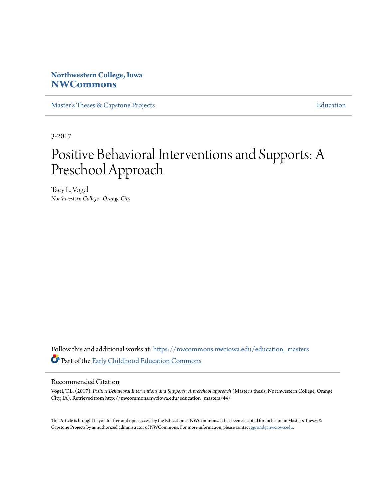### **Northwestern College, Iowa [NWCommons](https://nwcommons.nwciowa.edu?utm_source=nwcommons.nwciowa.edu%2Feducation_masters%2F44&utm_medium=PDF&utm_campaign=PDFCoverPages)**

[Master's Theses & Capstone Projects](https://nwcommons.nwciowa.edu/education_masters?utm_source=nwcommons.nwciowa.edu%2Feducation_masters%2F44&utm_medium=PDF&utm_campaign=PDFCoverPages) **[Education](https://nwcommons.nwciowa.edu/education?utm_source=nwcommons.nwciowa.edu%2Feducation_masters%2F44&utm_medium=PDF&utm_campaign=PDFCoverPages)** 

3-2017

# Positive Behavioral Interventions and Supports: A Preschool Approach

Tacy L. Vogel *Northwestern College - Orange City*

Follow this and additional works at: [https://nwcommons.nwciowa.edu/education\\_masters](https://nwcommons.nwciowa.edu/education_masters?utm_source=nwcommons.nwciowa.edu%2Feducation_masters%2F44&utm_medium=PDF&utm_campaign=PDFCoverPages) Part of the [Early Childhood Education Commons](http://network.bepress.com/hgg/discipline/1377?utm_source=nwcommons.nwciowa.edu%2Feducation_masters%2F44&utm_medium=PDF&utm_campaign=PDFCoverPages)

#### Recommended Citation

Vogel, T.L. (2017). *Positive Behavioral Interventions and Supports: A preschool approach* (Master's thesis, Northwestern College, Orange City, IA). Retrieved from http://nwcommons.nwciowa.edu/education\_masters/44/

This Article is brought to you for free and open access by the Education at NWCommons. It has been accepted for inclusion in Master's Theses & Capstone Projects by an authorized administrator of NWCommons. For more information, please contact [ggrond@nwciowa.edu.](mailto:ggrond@nwciowa.edu)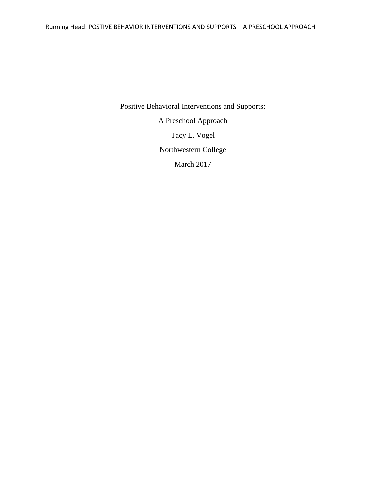Positive Behavioral Interventions and Supports: A Preschool Approach Tacy L. Vogel Northwestern College March 2017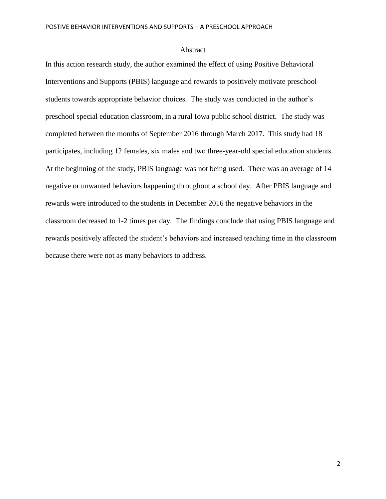#### Abstract

In this action research study, the author examined the effect of using Positive Behavioral Interventions and Supports (PBIS) language and rewards to positively motivate preschool students towards appropriate behavior choices. The study was conducted in the author's preschool special education classroom, in a rural Iowa public school district. The study was completed between the months of September 2016 through March 2017. This study had 18 participates, including 12 females, six males and two three-year-old special education students. At the beginning of the study, PBIS language was not being used. There was an average of 14 negative or unwanted behaviors happening throughout a school day. After PBIS language and rewards were introduced to the students in December 2016 the negative behaviors in the classroom decreased to 1-2 times per day. The findings conclude that using PBIS language and rewards positively affected the student's behaviors and increased teaching time in the classroom because there were not as many behaviors to address.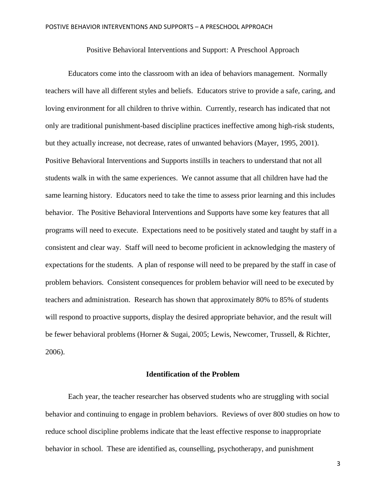Positive Behavioral Interventions and Support: A Preschool Approach

Educators come into the classroom with an idea of behaviors management. Normally teachers will have all different styles and beliefs. Educators strive to provide a safe, caring, and loving environment for all children to thrive within. Currently, research has indicated that not only are traditional punishment-based discipline practices ineffective among high-risk students, but they actually increase, not decrease, rates of unwanted behaviors (Mayer, 1995, 2001). Positive Behavioral Interventions and Supports instills in teachers to understand that not all students walk in with the same experiences. We cannot assume that all children have had the same learning history. Educators need to take the time to assess prior learning and this includes behavior. The Positive Behavioral Interventions and Supports have some key features that all programs will need to execute. Expectations need to be positively stated and taught by staff in a consistent and clear way. Staff will need to become proficient in acknowledging the mastery of expectations for the students. A plan of response will need to be prepared by the staff in case of problem behaviors. Consistent consequences for problem behavior will need to be executed by teachers and administration. Research has shown that approximately 80% to 85% of students will respond to proactive supports, display the desired appropriate behavior, and the result will be fewer behavioral problems (Horner & Sugai, 2005; Lewis, Newcomer, Trussell, & Richter, 2006).

#### **Identification of the Problem**

Each year, the teacher researcher has observed students who are struggling with social behavior and continuing to engage in problem behaviors. Reviews of over 800 studies on how to reduce school discipline problems indicate that the least effective response to inappropriate behavior in school. These are identified as, counselling, psychotherapy, and punishment

3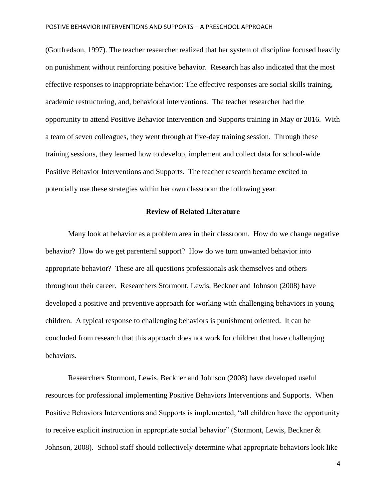(Gottfredson, 1997). The teacher researcher realized that her system of discipline focused heavily on punishment without reinforcing positive behavior. Research has also indicated that the most effective responses to inappropriate behavior: The effective responses are social skills training, academic restructuring, and, behavioral interventions. The teacher researcher had the opportunity to attend Positive Behavior Intervention and Supports training in May or 2016. With a team of seven colleagues, they went through at five-day training session. Through these training sessions, they learned how to develop, implement and collect data for school-wide Positive Behavior Interventions and Supports. The teacher research became excited to potentially use these strategies within her own classroom the following year.

#### **Review of Related Literature**

Many look at behavior as a problem area in their classroom. How do we change negative behavior? How do we get parenteral support? How do we turn unwanted behavior into appropriate behavior? These are all questions professionals ask themselves and others throughout their career. Researchers Stormont, Lewis, Beckner and Johnson (2008) have developed a positive and preventive approach for working with challenging behaviors in young children. A typical response to challenging behaviors is punishment oriented. It can be concluded from research that this approach does not work for children that have challenging behaviors.

Researchers Stormont, Lewis, Beckner and Johnson (2008) have developed useful resources for professional implementing Positive Behaviors Interventions and Supports. When Positive Behaviors Interventions and Supports is implemented, "all children have the opportunity to receive explicit instruction in appropriate social behavior" (Stormont, Lewis, Beckner & Johnson, 2008). School staff should collectively determine what appropriate behaviors look like

4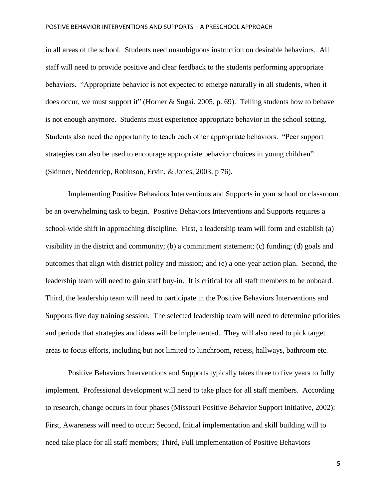in all areas of the school. Students need unambiguous instruction on desirable behaviors. All staff will need to provide positive and clear feedback to the students performing appropriate behaviors. "Appropriate behavior is not expected to emerge naturally in all students, when it does occur, we must support it" (Horner & Sugai, 2005, p. 69). Telling students how to behave is not enough anymore. Students must experience appropriate behavior in the school setting. Students also need the opportunity to teach each other appropriate behaviors. "Peer support strategies can also be used to encourage appropriate behavior choices in young children" (Skinner, Neddenriep, Robinson, Ervin, & Jones, 2003, p 76).

Implementing Positive Behaviors Interventions and Supports in your school or classroom be an overwhelming task to begin. Positive Behaviors Interventions and Supports requires a school-wide shift in approaching discipline. First, a leadership team will form and establish (a) visibility in the district and community; (b) a commitment statement; (c) funding; (d) goals and outcomes that align with district policy and mission; and (e) a one-year action plan. Second, the leadership team will need to gain staff buy-in. It is critical for all staff members to be onboard. Third, the leadership team will need to participate in the Positive Behaviors Interventions and Supports five day training session. The selected leadership team will need to determine priorities and periods that strategies and ideas will be implemented. They will also need to pick target areas to focus efforts, including but not limited to lunchroom, recess, hallways, bathroom etc.

Positive Behaviors Interventions and Supports typically takes three to five years to fully implement. Professional development will need to take place for all staff members. According to research, change occurs in four phases (Missouri Positive Behavior Support Initiative, 2002): First, Awareness will need to occur; Second, Initial implementation and skill building will to need take place for all staff members; Third, Full implementation of Positive Behaviors

5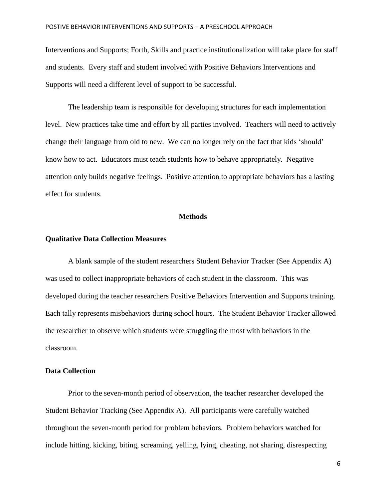Interventions and Supports; Forth, Skills and practice institutionalization will take place for staff and students. Every staff and student involved with Positive Behaviors Interventions and Supports will need a different level of support to be successful.

The leadership team is responsible for developing structures for each implementation level. New practices take time and effort by all parties involved. Teachers will need to actively change their language from old to new. We can no longer rely on the fact that kids 'should' know how to act. Educators must teach students how to behave appropriately. Negative attention only builds negative feelings. Positive attention to appropriate behaviors has a lasting effect for students.

### **Methods**

#### **Qualitative Data Collection Measures**

A blank sample of the student researchers Student Behavior Tracker (See Appendix A) was used to collect inappropriate behaviors of each student in the classroom. This was developed during the teacher researchers Positive Behaviors Intervention and Supports training. Each tally represents misbehaviors during school hours. The Student Behavior Tracker allowed the researcher to observe which students were struggling the most with behaviors in the classroom.

#### **Data Collection**

Prior to the seven-month period of observation, the teacher researcher developed the Student Behavior Tracking (See Appendix A). All participants were carefully watched throughout the seven-month period for problem behaviors. Problem behaviors watched for include hitting, kicking, biting, screaming, yelling, lying, cheating, not sharing, disrespecting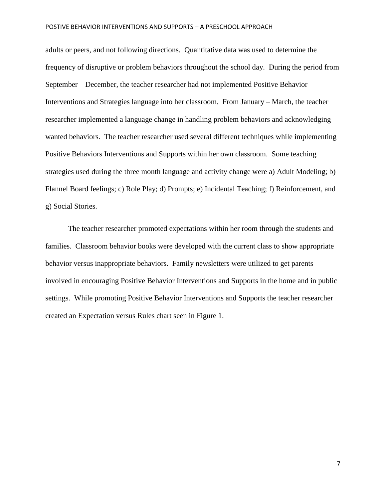adults or peers, and not following directions. Quantitative data was used to determine the frequency of disruptive or problem behaviors throughout the school day. During the period from September – December, the teacher researcher had not implemented Positive Behavior Interventions and Strategies language into her classroom. From January – March, the teacher researcher implemented a language change in handling problem behaviors and acknowledging wanted behaviors. The teacher researcher used several different techniques while implementing Positive Behaviors Interventions and Supports within her own classroom. Some teaching strategies used during the three month language and activity change were a) Adult Modeling; b) Flannel Board feelings; c) Role Play; d) Prompts; e) Incidental Teaching; f) Reinforcement, and g) Social Stories.

The teacher researcher promoted expectations within her room through the students and families. Classroom behavior books were developed with the current class to show appropriate behavior versus inappropriate behaviors. Family newsletters were utilized to get parents involved in encouraging Positive Behavior Interventions and Supports in the home and in public settings. While promoting Positive Behavior Interventions and Supports the teacher researcher created an Expectation versus Rules chart seen in Figure 1.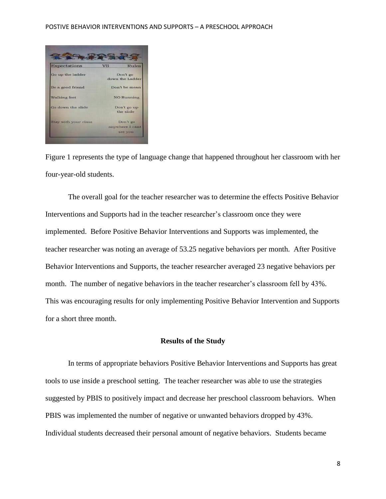

Figure 1 represents the type of language change that happened throughout her classroom with her four-year-old students.

The overall goal for the teacher researcher was to determine the effects Positive Behavior Interventions and Supports had in the teacher researcher's classroom once they were implemented. Before Positive Behavior Interventions and Supports was implemented, the teacher researcher was noting an average of 53.25 negative behaviors per month. After Positive Behavior Interventions and Supports, the teacher researcher averaged 23 negative behaviors per month. The number of negative behaviors in the teacher researcher's classroom fell by 43%. This was encouraging results for only implementing Positive Behavior Intervention and Supports for a short three month.

#### **Results of the Study**

In terms of appropriate behaviors Positive Behavior Interventions and Supports has great tools to use inside a preschool setting. The teacher researcher was able to use the strategies suggested by PBIS to positively impact and decrease her preschool classroom behaviors. When PBIS was implemented the number of negative or unwanted behaviors dropped by 43%. Individual students decreased their personal amount of negative behaviors. Students became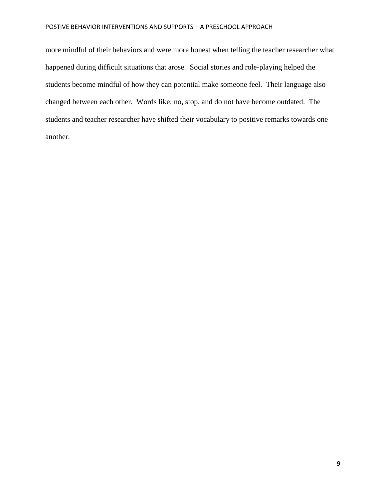more mindful of their behaviors and were more honest when telling the teacher researcher what happened during difficult situations that arose. Social stories and role-playing helped the students become mindful of how they can potential make someone feel. Their language also changed between each other. Words like; no, stop, and do not have become outdated. The students and teacher researcher have shifted their vocabulary to positive remarks towards one another.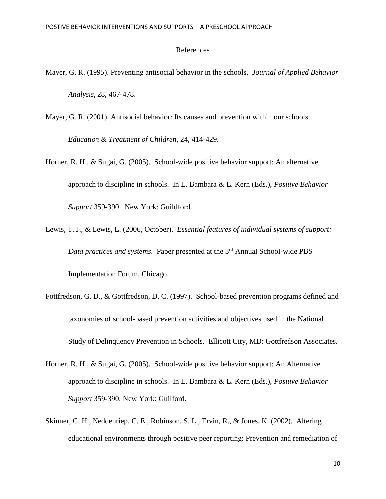### References

- Mayer, G. R. (1995). Preventing antisocial behavior in the schools. *Journal of Applied Behavior Analysis*, 28, 467-478.
- Mayer, G. R. (2001). Antisocial behavior: Its causes and prevention within our schools. *Education & Treatment of Children*, 24, 414-429.
- Horner, R. H., & Sugai, G. (2005). School-wide positive behavior support: An alternative approach to discipline in schools. In L. Bambara & L. Kern (Eds.), *Positive Behavior Support* 359-390. New York: Guildford.
- Lewis, T. J., & Lewis, L. (2006, October). *Essential features of individual systems of support: Data practices and systems.* Paper presented at the 3<sup>rd</sup> Annual School-wide PBS Implementation Forum, Chicago.
- Fottfredson, G. D., & Gottfredson, D. C. (1997). School-based prevention programs defined and taxonomies of school-based prevention activities and objectives used in the National Study of Delinquency Prevention in Schools. Ellicott City, MD: Gottfredson Associates.
- Horner, R. H., & Sugai, G. (2005). School-wide positive behavior support: An Alternative approach to discipline in schools. In L. Bambara & L. Kern (Eds.), *Positive Behavior Support* 359-390. New York: Guilford.
- Skinner, C. H., Neddenriep, C. E., Robinson, S. L., Ervin, R., & Jones, K. (2002). Altering educational environments through positive peer reporting: Prevention and remediation of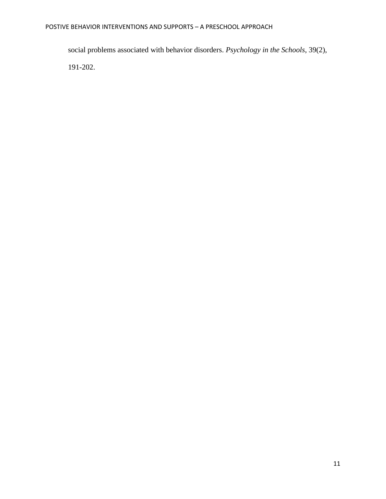social problems associated with behavior disorders. *Psychology in the Schools*, 39(2), 191-202.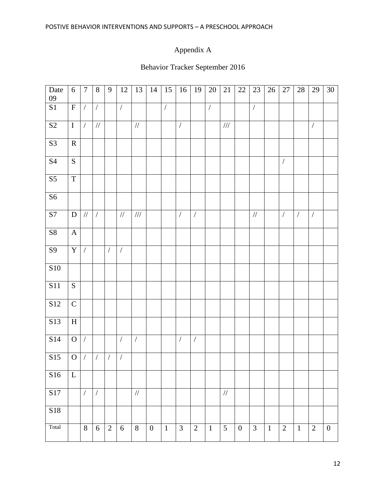# Appendix A

# Behavior Tracker September 2016

| Date<br>09             | 6              | $\overline{7}$ | $8\,$            | 9              | 12             | 13             | 14             | 15             | 16                   | 19             | $20\,$         | 21             | 22               | 23             | 26           | 27             | 28                   | 29             | 30               |
|------------------------|----------------|----------------|------------------|----------------|----------------|----------------|----------------|----------------|----------------------|----------------|----------------|----------------|------------------|----------------|--------------|----------------|----------------------|----------------|------------------|
| $\mathbf{S}1$          | ${\bf F}$      | $\overline{ }$ | $\overline{ }$   |                | $\overline{ }$ |                |                | $\overline{ }$ |                      |                | $\overline{ }$ |                |                  | $\overline{ }$ |              |                |                      |                |                  |
| $\overline{S2}$        | $\bf I$        | $\overline{ }$ | $/\!/$           |                |                | $/\!/$         |                |                | $\sqrt{\phantom{a}}$ |                |                | $/\!/ \!/$     |                  |                |              |                |                      | $\overline{ }$ |                  |
| S <sub>3</sub>         | ${\bf R}$      |                |                  |                |                |                |                |                |                      |                |                |                |                  |                |              |                |                      |                |                  |
| $\overline{S4}$        | ${\bf S}$      |                |                  |                |                |                |                |                |                      |                |                |                |                  |                |              | $\sqrt{ }$     |                      |                |                  |
| $\overline{\text{S5}}$ | $\overline{T}$ |                |                  |                |                |                |                |                |                      |                |                |                |                  |                |              |                |                      |                |                  |
| S <sub>6</sub>         |                |                |                  |                |                |                |                |                |                      |                |                |                |                  |                |              |                |                      |                |                  |
| S7                     | ${\bf D}$      | $/\!/$         | $\sqrt{2}$       |                | $/\!/$         | $/\!/ \!/$     |                |                | $\overline{ }$       | $\overline{ }$ |                |                |                  | $/\!/$         |              | $\sqrt{2}$     | $\sqrt{\phantom{a}}$ | $\overline{ }$ |                  |
| ${\bf S8}$             | $\mathbf A$    |                |                  |                |                |                |                |                |                      |                |                |                |                  |                |              |                |                      |                |                  |
| $\overline{S9}$        | $\mathbf Y$    | $\overline{ }$ |                  | $\overline{ }$ | $\overline{ }$ |                |                |                |                      |                |                |                |                  |                |              |                |                      |                |                  |
| ${\bf S10}$            |                |                |                  |                |                |                |                |                |                      |                |                |                |                  |                |              |                |                      |                |                  |
| <b>S11</b>             | ${\bf S}$      |                |                  |                |                |                |                |                |                      |                |                |                |                  |                |              |                |                      |                |                  |
| $\overline{S12}$       | ${\bf C}$      |                |                  |                |                |                |                |                |                      |                |                |                |                  |                |              |                |                      |                |                  |
| S13                    | $\, {\rm H}$   |                |                  |                |                |                |                |                |                      |                |                |                |                  |                |              |                |                      |                |                  |
| S14                    | $\mathbf{O}$   | $\overline{ }$ |                  |                | $\overline{ }$ | $\overline{ }$ |                |                | $\overline{ }$       | $\overline{ }$ |                |                |                  |                |              |                |                      |                |                  |
| S15                    | $\mathbf O$    | $\overline{ }$ | $\sqrt{2}$       | $\overline{ }$ | $\overline{ }$ |                |                |                |                      |                |                |                |                  |                |              |                |                      |                |                  |
| S16                    | $\mathbf{L}$   |                |                  |                |                |                |                |                |                      |                |                |                |                  |                |              |                |                      |                |                  |
| S17                    |                | $\sqrt{2}$     | $\sqrt{2}$       |                |                | $/\!/$         |                |                |                      |                |                | $/\!/$         |                  |                |              |                |                      |                |                  |
| S18                    |                |                |                  |                |                |                |                |                |                      |                |                |                |                  |                |              |                |                      |                |                  |
| Total                  |                | $\overline{8}$ | $\boldsymbol{6}$ | $\overline{2}$ | $\overline{6}$ | $\overline{8}$ | $\overline{0}$ | $\mathbf{1}$   | $\overline{3}$       | $\overline{2}$ | $1\,$          | $\overline{5}$ | $\boldsymbol{0}$ | $\overline{3}$ | $\mathbf{1}$ | $\overline{2}$ | $\mathbf{1}$         | $\overline{2}$ | $\boldsymbol{0}$ |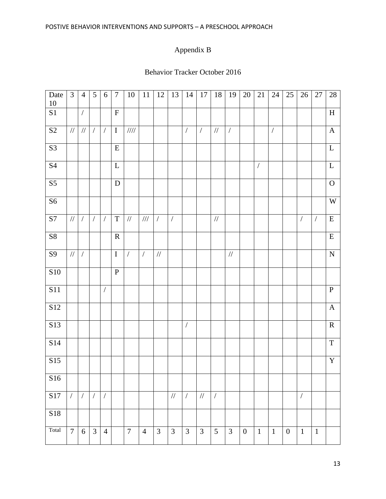# Appendix B

### Behavior Tracker October 2016

| Date<br>$10\,$         | $\mathfrak{Z}$ | $\overline{4}$       | 5              | 6                    | $\overline{7}$ | $10\,$                   | $11\,$         | 12             | 13             | 14                   | $17\,$         | $18\,$         | 19             | 20               | $21\,$          | 24                   | $25\,$         | $26\,$       | $27\,$       | $28\,$         |
|------------------------|----------------|----------------------|----------------|----------------------|----------------|--------------------------|----------------|----------------|----------------|----------------------|----------------|----------------|----------------|------------------|-----------------|----------------------|----------------|--------------|--------------|----------------|
| $\bf S1$               |                | $\sqrt{\phantom{a}}$ |                |                      | ${\bf F}$      |                          |                |                |                |                      |                |                |                |                  |                 |                      |                |              |              | $\mathbf H$    |
| S <sub>2</sub>         | $/\!/$         | $/\!/$               | $\sqrt{ }$     | $\sqrt{ }$           | $\overline{I}$ | $\mathcal{U}\mathcal{U}$ |                |                |                | $\sqrt{\phantom{a}}$ | $\overline{ }$ | $/\!/$         | $\sqrt{ }$     |                  |                 | $\sqrt{\phantom{a}}$ |                |              |              | $\mathbf A$    |
| S3                     |                |                      |                |                      | ${\bf E}$      |                          |                |                |                |                      |                |                |                |                  |                 |                      |                |              |              | $\mathbf L$    |
| $\overline{\text{S4}}$ |                |                      |                |                      | $\mathbf L$    |                          |                |                |                |                      |                |                |                |                  | $\sqrt{ }$      |                      |                |              |              | ${\bf L}$      |
| $\overline{\text{S5}}$ |                |                      |                |                      | ${\bf D}$      |                          |                |                |                |                      |                |                |                |                  |                 |                      |                |              |              | $\mathbf O$    |
| S6                     |                |                      |                |                      |                |                          |                |                |                |                      |                |                |                |                  |                 |                      |                |              |              | $\mathbf W$    |
| $\mathbf{S}7$          | $/\!/$         | $\sqrt{\phantom{a}}$ | $\sqrt{ }$     | $\sqrt{2}$           | $\mathbf T$    | $\frac{1}{2}$            | $\frac{1}{1}$  | $\sqrt{ }$     | $\overline{ }$ |                      |                | $/\!/$         |                |                  |                 |                      |                | $\bigg)$     | $\sqrt{ }$   | ${\bf E}$      |
| ${\bf S8}$             |                |                      |                |                      | ${\bf R}$      |                          |                |                |                |                      |                |                |                |                  |                 |                      |                |              |              | ${\bf E}$      |
| <b>S9</b>              | $/\!/$         | $\sqrt{\phantom{a}}$ |                |                      | $\bf I$        | $\sqrt{2}$               | $\sqrt{2}$     | $/\!/$         |                |                      |                |                | $/\!/$         |                  |                 |                      |                |              |              | ${\bf N}$      |
| ${\bf S10}$            |                |                      |                |                      | ${\bf P}$      |                          |                |                |                |                      |                |                |                |                  |                 |                      |                |              |              |                |
| $\overline{S11}$       |                |                      |                | $\sqrt{\phantom{a}}$ |                |                          |                |                |                |                      |                |                |                |                  |                 |                      |                |              |              | $\overline{P}$ |
| S12                    |                |                      |                |                      |                |                          |                |                |                |                      |                |                |                |                  |                 |                      |                |              |              | $\mathbf A$    |
| S13                    |                |                      |                |                      |                |                          |                |                |                | $\overline{ }$       |                |                |                |                  |                 |                      |                |              |              | ${\bf R}$      |
| S14                    |                |                      |                |                      |                |                          |                |                |                |                      |                |                |                |                  |                 |                      |                |              |              | $\overline{T}$ |
| S15                    |                |                      |                |                      |                |                          |                |                |                |                      |                |                |                |                  |                 |                      |                |              |              | $\mathbf Y$    |
| S16                    |                |                      |                |                      |                |                          |                |                |                |                      |                |                |                |                  |                 |                      |                |              |              |                |
| S17                    | $\sqrt{2}$     | $\sqrt{ }$           | $\sqrt{ }$     | $\sqrt{2}$           |                |                          |                |                | $/\!/$         | $\sqrt{2}$           | $\frac{1}{2}$  | $\sqrt{2}$     |                |                  |                 |                      |                | $\sqrt{ }$   |              |                |
| S18                    |                |                      |                |                      |                |                          |                |                |                |                      |                |                |                |                  |                 |                      |                |              |              |                |
| Total                  | $\overline{7}$ | 6                    | $\overline{3}$ | $\overline{4}$       |                | $\overline{7}$           | $\overline{4}$ | $\mathfrak{Z}$ | $\mathfrak{Z}$ | $\mathfrak{Z}$       | $\mathfrak{Z}$ | $\mathfrak{H}$ | $\mathfrak{Z}$ | $\boldsymbol{0}$ | $\vert 1 \vert$ | $\mathbf{1}$         | $\overline{0}$ | $\mathbf{1}$ | $\mathbf{1}$ |                |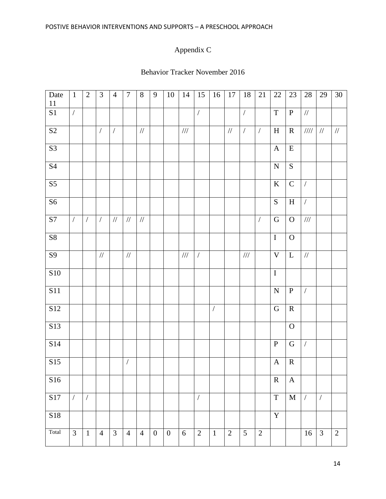# Appendix C

### Behavior Tracker November 2016

| Date<br>$11\,$         | $\mathbf{1}$   | $\overline{2}$ | 3              | $\overline{4}$ | $\tau$               | 8              | 9                | 10               | 14               | 15                   | 16             | 17             | 18             | 21             | $22\,$         | $23\,$         | 28                      | 29             | 30             |
|------------------------|----------------|----------------|----------------|----------------|----------------------|----------------|------------------|------------------|------------------|----------------------|----------------|----------------|----------------|----------------|----------------|----------------|-------------------------|----------------|----------------|
| S1                     | $\sqrt{2}$     |                |                |                |                      |                |                  |                  |                  | $\sqrt{\phantom{a}}$ |                |                | $\overline{ }$ |                | $\mathbf T$    | $\, {\bf P}$   | $/\!/$                  |                |                |
| $\overline{S2}$        |                |                | $\overline{ }$ | $\sqrt{2}$     |                      | $/\!/$         |                  |                  | $/ \! / \! /$    |                      |                | $/\!/$         | $\overline{ }$ | $\sqrt{2}$     | $\, {\rm H}$   | $\mathbf R$    | $/ \! / \! / \! / \! /$ | $\frac{1}{2}$  | $/\!/$         |
| $\overline{S3}$        |                |                |                |                |                      |                |                  |                  |                  |                      |                |                |                |                | $\mathbf{A}$   | ${\bf E}$      |                         |                |                |
| <b>S4</b>              |                |                |                |                |                      |                |                  |                  |                  |                      |                |                |                |                | ${\bf N}$      | S              |                         |                |                |
| $\overline{\text{S5}}$ |                |                |                |                |                      |                |                  |                  |                  |                      |                |                |                |                | $\bf K$        | $\mathbf C$    | $\sqrt{2}$              |                |                |
| $\overline{\text{S6}}$ |                |                |                |                |                      |                |                  |                  |                  |                      |                |                |                |                | ${\bf S}$      | $\, {\rm H}$   | $\sqrt{\phantom{a}}$    |                |                |
| $\overline{S7}$        | $\sqrt{2}$     | $\sqrt{2}$     | $\sqrt{2}$     | $\frac{1}{2}$  | $\frac{1}{2}$        | $\frac{1}{2}$  |                  |                  |                  |                      |                |                |                | $\sqrt{2}$     | $\mathbf G$    | $\overline{O}$ | 111                     |                |                |
| $\overline{\text{S8}}$ |                |                |                |                |                      |                |                  |                  |                  |                      |                |                |                |                | $\overline{I}$ | $\mathbf{O}$   |                         |                |                |
| $\overline{S9}$        |                |                | $/\!/$         |                | $/\!/$               |                |                  |                  | $/\!/ \!/$       | $\overline{ }$       |                |                | $/\!/ \!/$     |                | $\mathbf V$    | $\mathbf{L}$   | $/\!/$                  |                |                |
| <b>S10</b>             |                |                |                |                |                      |                |                  |                  |                  |                      |                |                |                |                | $\rm I$        |                |                         |                |                |
| $\overline{S11}$       |                |                |                |                |                      |                |                  |                  |                  |                      |                |                |                |                | ${\bf N}$      | $\mathbf P$    | $\sqrt{2}$              |                |                |
| $\overline{S12}$       |                |                |                |                |                      |                |                  |                  |                  |                      | $\overline{ }$ |                |                |                | $\mathbf G$    | ${\bf R}$      |                         |                |                |
| S13                    |                |                |                |                |                      |                |                  |                  |                  |                      |                |                |                |                |                | $\mathbf O$    |                         |                |                |
| S14                    |                |                |                |                |                      |                |                  |                  |                  |                      |                |                |                |                | ${\bf P}$      | $\mathbf G$    | $\sqrt{2}$              |                |                |
| S15                    |                |                |                |                | $\sqrt{\phantom{a}}$ |                |                  |                  |                  |                      |                |                |                |                | $\mathbf{A}$   | $\mathbf R$    |                         |                |                |
| S16                    |                |                |                |                |                      |                |                  |                  |                  |                      |                |                |                |                | $\mathbf R$    | $\mathbf{A}$   |                         |                |                |
| S17                    | $\sqrt{2}$     | $\sqrt{2}$     |                |                |                      |                |                  |                  |                  | $\overline{ }$       |                |                |                |                | $\mathbf T$    | $\mathbf M$    | $\sqrt{2}$              | $\overline{ }$ |                |
| S18                    |                |                |                |                |                      |                |                  |                  |                  |                      |                |                |                |                | $\mathbf Y$    |                |                         |                |                |
| Total                  | $\overline{3}$ | $1\,$          | $\overline{4}$ | $\overline{3}$ | $\overline{4}$       | $\overline{4}$ | $\boldsymbol{0}$ | $\boldsymbol{0}$ | $\boldsymbol{6}$ | $\sqrt{2}$           | $1\,$          | $\overline{2}$ | $\mathfrak{H}$ | $\overline{2}$ |                |                | 16                      | $\overline{3}$ | $\overline{2}$ |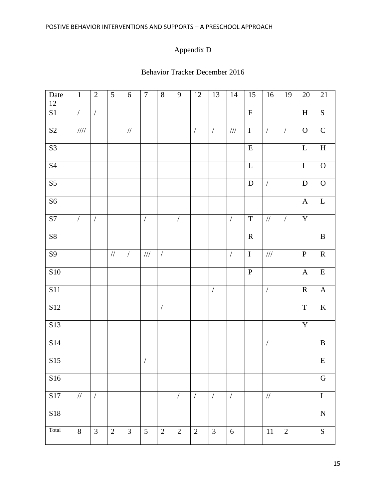# Appendix D

### Behavior Tracker December 2016

| Date<br>$12\,$         | $\mathbf{1}$             | $\overline{2}$ | 5              | $6\,$          | $\overline{7}$ | $8\,$                | 9                    | $12\,$       | 13                   | 14             | 15                      | 16                   | 19             | $20\,$                  | 21                        |
|------------------------|--------------------------|----------------|----------------|----------------|----------------|----------------------|----------------------|--------------|----------------------|----------------|-------------------------|----------------------|----------------|-------------------------|---------------------------|
| S1                     | $\sqrt{2}$               | $\sqrt{2}$     |                |                |                |                      |                      |              |                      |                | $\overline{\mathrm{F}}$ |                      |                | $\, {\rm H}$            | $\overline{S}$            |
| $\overline{S2}$        | $\mathcal{U}\mathcal{U}$ |                |                | $/\!/$         |                |                      |                      | $\sqrt{ }$   | $\sqrt{ }$           | $/\!/ \!/$     | $\overline{I}$          | $\overline{ }$       | $\sqrt{ }$     | $\overline{O}$          | $\overline{C}$            |
| S3                     |                          |                |                |                |                |                      |                      |              |                      |                | ${\bf E}$               |                      |                | $\mathbf{L}$            | $\boldsymbol{\mathrm{H}}$ |
| $\overline{S4}$        |                          |                |                |                |                |                      |                      |              |                      |                | ${\bf L}$               |                      |                | $\rm I$                 | ${\rm O}$                 |
| S <sub>5</sub>         |                          |                |                |                |                |                      |                      |              |                      |                | ${\bf D}$               | $\sqrt{\phantom{a}}$ |                | $\mathbf D$             | ${\rm O}$                 |
| $\overline{\text{S6}}$ |                          |                |                |                |                |                      |                      |              |                      |                |                         |                      |                | $\mathbf A$             | $\mathbf L$               |
| S <sub>7</sub>         | $\sqrt{2}$               | $\sqrt{2}$     |                |                | $\overline{ }$ |                      | $\sqrt{\phantom{a}}$ |              |                      | $\overline{ }$ | $\mathbf T$             | $/\!/$               | $\overline{ }$ | $\mathbf Y$             |                           |
| ${\bf S8}$             |                          |                |                |                |                |                      |                      |              |                      |                | $\overline{R}$          |                      |                |                         | $\, {\bf B}$              |
| $\overline{S9}$        |                          |                | $/\!/$         | $\sqrt{ }$     | $/\!/ \!/$     | $\sqrt{\phantom{a}}$ |                      |              |                      | $\overline{ }$ | $\bf I$                 | $/\!/ /$             |                | $\, {\bf P}$            | $\overline{\mathbf{R}}$   |
| ${\bf S10}$            |                          |                |                |                |                |                      |                      |              |                      |                | ${\bf P}$               |                      |                | $\mathbf A$             | ${\bf E}$                 |
| <b>S11</b>             |                          |                |                |                |                |                      |                      |              | $\sqrt{\phantom{a}}$ |                |                         | $\sqrt{\phantom{a}}$ |                | ${\bf R}$               | $\mathbf A$               |
| $\overline{S12}$       |                          |                |                |                |                | $\overline{ }$       |                      |              |                      |                |                         |                      |                | $\overline{T}$          | $\overline{\mathbf{K}}$   |
| S13                    |                          |                |                |                |                |                      |                      |              |                      |                |                         |                      |                | $\overline{\mathbf{Y}}$ |                           |
| S14                    |                          |                |                |                |                |                      |                      |              |                      |                |                         | $\sqrt{\phantom{a}}$ |                |                         | $\overline{B}$            |
| S15                    |                          |                |                |                | $\overline{ }$ |                      |                      |              |                      |                |                         |                      |                |                         | ${\bf E}$                 |
| S16                    |                          |                |                |                |                |                      |                      |              |                      |                |                         |                      |                |                         | ${\bf G}$                 |
| S17                    | $\frac{1}{2}$            | $\sqrt{2}$     |                |                |                |                      | $\sqrt{\phantom{a}}$ | $\sqrt{2}$   | $\sqrt{\phantom{a}}$ | $\overline{ }$ |                         | $/\!/$               |                |                         | $\overline{I}$            |
| S18                    |                          |                |                |                |                |                      |                      |              |                      |                |                         |                      |                |                         | ${\bf N}$                 |
| Total                  | 8                        | $\mathfrak{Z}$ | $\overline{2}$ | $\mathfrak{Z}$ | 5              | $\overline{2}$       | $\overline{2}$       | $\mathbf{2}$ | $\mathfrak{Z}$       | 6              |                         | $11\,$               | $\sqrt{2}$     |                         | $\overline{S}$            |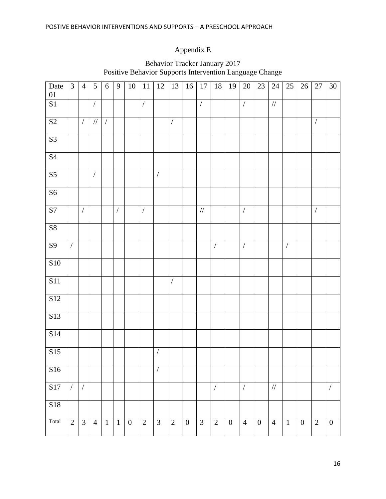# Appendix E

| Date<br>$01\,$         | $\mathfrak{Z}$ | $\overline{4}$ | 5                    | 6            | 9              | 10             | $\overline{1}1$ | 12             | 13             | 16               | 17             | 18             | 19             | $20\,$               | $23\,$           | 24             | $25\,$         | 26             | 27                   | $\overline{30}$  |
|------------------------|----------------|----------------|----------------------|--------------|----------------|----------------|-----------------|----------------|----------------|------------------|----------------|----------------|----------------|----------------------|------------------|----------------|----------------|----------------|----------------------|------------------|
| $\overline{S1}$        |                |                | $\overline{ }$       |              |                |                | $\overline{ }$  |                |                |                  | $\overline{ }$ |                |                | $\overline{1}$       |                  | $/\!/$         |                |                |                      |                  |
| $\overline{S2}$        |                | $\sqrt{2}$     | $/\!/$               | $\sqrt{2}$   |                |                |                 |                | $\overline{ }$ |                  |                |                |                |                      |                  |                |                |                | $\overline{ }$       |                  |
| S <sub>3</sub>         |                |                |                      |              |                |                |                 |                |                |                  |                |                |                |                      |                  |                |                |                |                      |                  |
| $\overline{\text{S4}}$ |                |                |                      |              |                |                |                 |                |                |                  |                |                |                |                      |                  |                |                |                |                      |                  |
| $\overline{\text{S5}}$ |                |                | $\sqrt{\phantom{a}}$ |              |                |                |                 | $\overline{ }$ |                |                  |                |                |                |                      |                  |                |                |                |                      |                  |
| $\overline{\text{S6}}$ |                |                |                      |              |                |                |                 |                |                |                  |                |                |                |                      |                  |                |                |                |                      |                  |
| $\overline{S7}$        |                | $\overline{ }$ |                      |              | $\overline{ }$ |                | $\overline{ }$  |                |                |                  | $/\!/$         |                |                | $\overline{ }$       |                  |                |                |                | $\sqrt{\phantom{a}}$ |                  |
| S8                     |                |                |                      |              |                |                |                 |                |                |                  |                |                |                |                      |                  |                |                |                |                      |                  |
| <b>S9</b>              | $\sqrt{2}$     |                |                      |              |                |                |                 |                |                |                  |                | $\sqrt{ }$     |                | $\sqrt{\phantom{a}}$ |                  |                | $\overline{ }$ |                |                      |                  |
| S10                    |                |                |                      |              |                |                |                 |                |                |                  |                |                |                |                      |                  |                |                |                |                      |                  |
| $\overline{S11}$       |                |                |                      |              |                |                |                 |                | $\overline{ }$ |                  |                |                |                |                      |                  |                |                |                |                      |                  |
| <b>S12</b>             |                |                |                      |              |                |                |                 |                |                |                  |                |                |                |                      |                  |                |                |                |                      |                  |
| S13                    |                |                |                      |              |                |                |                 |                |                |                  |                |                |                |                      |                  |                |                |                |                      |                  |
| S14                    |                |                |                      |              |                |                |                 |                |                |                  |                |                |                |                      |                  |                |                |                |                      |                  |
| S15                    |                |                |                      |              |                |                |                 | $\overline{ }$ |                |                  |                |                |                |                      |                  |                |                |                |                      |                  |
| S16                    |                |                |                      |              |                |                |                 | $\sqrt{ }$     |                |                  |                |                |                |                      |                  |                |                |                |                      |                  |
| S17                    | $\sqrt{2}$     | $\sqrt{2}$     |                      |              |                |                |                 |                |                |                  |                | $\overline{ }$ |                | $\overline{ }$       |                  | $/\!/$         |                |                |                      | $\overline{ }$   |
| S18                    |                |                |                      |              |                |                |                 |                |                |                  |                |                |                |                      |                  |                |                |                |                      |                  |
| Total                  | $\overline{2}$ | $\overline{3}$ | $\overline{4}$       | $\mathbf{1}$ | $\mathbf{1}$   | $\overline{0}$ | $\overline{2}$  | $\overline{3}$ | $\mathbf{2}$   | $\boldsymbol{0}$ | $\overline{3}$ | $\overline{2}$ | $\overline{0}$ | $\overline{4}$       | $\boldsymbol{0}$ | $\overline{4}$ | $1\,$          | $\overline{0}$ | $\overline{2}$       | $\boldsymbol{0}$ |

### Behavior Tracker January 2017 Positive Behavior Supports Intervention Language Change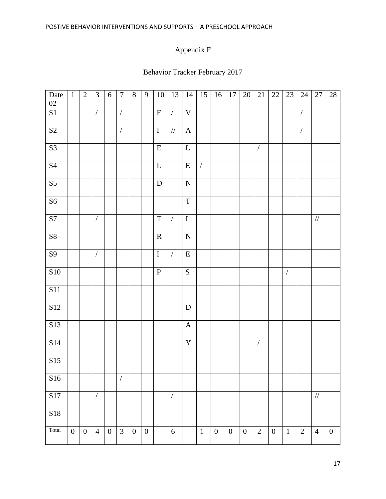# Appendix F

# Behavior Tracker February 2017

| Date<br>$02\,$         | $\mathbf{1}$     | $\overline{2}$   | $\mathfrak{Z}$       | 6                | $\overline{7}$       | $8\,$            | 9                | 10             | 13                   | 14           | 15             | 16               | $17\,$           | $20\,$           | $21\,$         | $22\,$           | $23\,$               | $24\,$         | 27             | $28\,$           |
|------------------------|------------------|------------------|----------------------|------------------|----------------------|------------------|------------------|----------------|----------------------|--------------|----------------|------------------|------------------|------------------|----------------|------------------|----------------------|----------------|----------------|------------------|
| $\mathbf{S}1$          |                  |                  | $\sqrt{ }$           |                  | $\overline{ }$       |                  |                  | $\mathbf F$    | $\overline{ }$       | $\mathbf V$  |                |                  |                  |                  |                |                  |                      | $\overline{ }$ |                |                  |
| S2                     |                  |                  |                      |                  | $\sqrt{\phantom{a}}$ |                  |                  | $\overline{I}$ | $\overline{11}$      | $\mathbf{A}$ |                |                  |                  |                  |                |                  |                      | $\overline{ }$ |                |                  |
| $\overline{S3}$        |                  |                  |                      |                  |                      |                  |                  | ${\bf E}$      |                      | $\mathbf L$  |                |                  |                  |                  | $\overline{ }$ |                  |                      |                |                |                  |
| $\overline{S4}$        |                  |                  |                      |                  |                      |                  |                  | $\mathbf L$    |                      | ${\bf E}$    | $\overline{ }$ |                  |                  |                  |                |                  |                      |                |                |                  |
| $\overline{\text{S5}}$ |                  |                  |                      |                  |                      |                  |                  | ${\bf D}$      |                      | ${\bf N}$    |                |                  |                  |                  |                |                  |                      |                |                |                  |
| S <sub>6</sub>         |                  |                  |                      |                  |                      |                  |                  |                |                      | $\mathbf T$  |                |                  |                  |                  |                |                  |                      |                |                |                  |
| S7                     |                  |                  | $\overline{ }$       |                  |                      |                  |                  | $\mathbf T$    | $\overline{ }$       | $\bf I$      |                |                  |                  |                  |                |                  |                      |                | $/\!/$         |                  |
| ${\bf S8}$             |                  |                  |                      |                  |                      |                  |                  | ${\bf R}$      |                      | ${\bf N}$    |                |                  |                  |                  |                |                  |                      |                |                |                  |
| $\overline{S9}$        |                  |                  | $\overline{ }$       |                  |                      |                  |                  | $\bf I$        | $\overline{ }$       | ${\bf E}$    |                |                  |                  |                  |                |                  |                      |                |                |                  |
| <b>S10</b>             |                  |                  |                      |                  |                      |                  |                  | ${\bf P}$      |                      | ${\bf S}$    |                |                  |                  |                  |                |                  | $\sqrt{\phantom{a}}$ |                |                |                  |
| $\overline{S11}$       |                  |                  |                      |                  |                      |                  |                  |                |                      |              |                |                  |                  |                  |                |                  |                      |                |                |                  |
| S12                    |                  |                  |                      |                  |                      |                  |                  |                |                      | ${\bf D}$    |                |                  |                  |                  |                |                  |                      |                |                |                  |
| S13                    |                  |                  |                      |                  |                      |                  |                  |                |                      | $\mathbf{A}$ |                |                  |                  |                  |                |                  |                      |                |                |                  |
| S14                    |                  |                  |                      |                  |                      |                  |                  |                |                      | $\mathbf Y$  |                |                  |                  |                  | $\overline{ }$ |                  |                      |                |                |                  |
| S15                    |                  |                  |                      |                  |                      |                  |                  |                |                      |              |                |                  |                  |                  |                |                  |                      |                |                |                  |
| S16                    |                  |                  |                      |                  | $\sqrt{ }$           |                  |                  |                |                      |              |                |                  |                  |                  |                |                  |                      |                |                |                  |
| S17                    |                  |                  | $\sqrt{\phantom{a}}$ |                  |                      |                  |                  |                | $\sqrt{\phantom{a}}$ |              |                |                  |                  |                  |                |                  |                      |                | $/\!/$         |                  |
| S18                    |                  |                  |                      |                  |                      |                  |                  |                |                      |              |                |                  |                  |                  |                |                  |                      |                |                |                  |
| Total                  | $\boldsymbol{0}$ | $\boldsymbol{0}$ | $\overline{4}$       | $\boldsymbol{0}$ | $\mathfrak{Z}$       | $\boldsymbol{0}$ | $\boldsymbol{0}$ |                | $\sqrt{6}$           |              | $\mathbf{1}$   | $\boldsymbol{0}$ | $\boldsymbol{0}$ | $\boldsymbol{0}$ | $\sqrt{2}$     | $\boldsymbol{0}$ | $\mathbf{1}$         | $\overline{2}$ | $\overline{4}$ | $\boldsymbol{0}$ |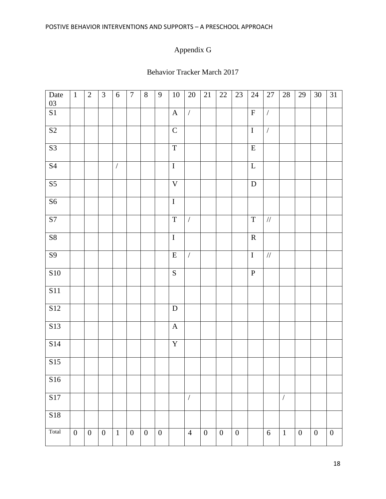# Appendix G

### Behavior Tracker March 2017

| Date<br>03             | $\mathbf{1}$     | $\overline{2}$   | $\mathfrak{Z}$   | 6              | $\overline{7}$   | $8\,$            | 9                | $10\,$                    | $20\,$               | 21               | $22\,$           | $23\,$           | $24\,$                  | $27\,$         | $28\,$         | 29               | $30\,$           | 31               |
|------------------------|------------------|------------------|------------------|----------------|------------------|------------------|------------------|---------------------------|----------------------|------------------|------------------|------------------|-------------------------|----------------|----------------|------------------|------------------|------------------|
| S1                     |                  |                  |                  |                |                  |                  |                  | $\boldsymbol{\mathsf{A}}$ | $\overline{ }$       |                  |                  |                  | $\mathbf F$             | $\overline{ }$ |                |                  |                  |                  |
| $\overline{S2}$        |                  |                  |                  |                |                  |                  |                  | $\overline{C}$            |                      |                  |                  |                  | $\overline{\mathrm{I}}$ | $\overline{ }$ |                |                  |                  |                  |
| $\overline{\text{S}3}$ |                  |                  |                  |                |                  |                  |                  | $\mathbf T$               |                      |                  |                  |                  | ${\bf E}$               |                |                |                  |                  |                  |
| $\overline{S4}$        |                  |                  |                  | $\overline{ }$ |                  |                  |                  | $\bf I$                   |                      |                  |                  |                  | $\mathbf L$             |                |                |                  |                  |                  |
| $\overline{\text{S5}}$ |                  |                  |                  |                |                  |                  |                  | $\overline{\mathbf{V}}$   |                      |                  |                  |                  | ${\bf D}$               |                |                |                  |                  |                  |
| S <sub>6</sub>         |                  |                  |                  |                |                  |                  |                  | $\overline{I}$            |                      |                  |                  |                  |                         |                |                |                  |                  |                  |
| $\overline{S7}$        |                  |                  |                  |                |                  |                  |                  | $\mathbf T$               | $\overline{ }$       |                  |                  |                  | $\mathbf T$             | $/\!/$         |                |                  |                  |                  |
| ${\bf S8}$             |                  |                  |                  |                |                  |                  |                  | $\bf I$                   |                      |                  |                  |                  | ${\bf R}$               |                |                |                  |                  |                  |
| $\overline{S9}$        |                  |                  |                  |                |                  |                  |                  | ${\bf E}$                 | $\sqrt{\phantom{a}}$ |                  |                  |                  | $\bf I$                 | $/\!/$         |                |                  |                  |                  |
| S10                    |                  |                  |                  |                |                  |                  |                  | ${\bf S}$                 |                      |                  |                  |                  | ${\bf P}$               |                |                |                  |                  |                  |
| $\overline{S11}$       |                  |                  |                  |                |                  |                  |                  |                           |                      |                  |                  |                  |                         |                |                |                  |                  |                  |
| S12                    |                  |                  |                  |                |                  |                  |                  | ${\bf D}$                 |                      |                  |                  |                  |                         |                |                |                  |                  |                  |
| S <sub>13</sub>        |                  |                  |                  |                |                  |                  |                  | $\mathbf A$               |                      |                  |                  |                  |                         |                |                |                  |                  |                  |
| S14                    |                  |                  |                  |                |                  |                  |                  | $\mathbf Y$               |                      |                  |                  |                  |                         |                |                |                  |                  |                  |
| S15                    |                  |                  |                  |                |                  |                  |                  |                           |                      |                  |                  |                  |                         |                |                |                  |                  |                  |
| S16                    |                  |                  |                  |                |                  |                  |                  |                           |                      |                  |                  |                  |                         |                |                |                  |                  |                  |
| S17                    |                  |                  |                  |                |                  |                  |                  |                           | $\overline{ }$       |                  |                  |                  |                         |                | $\overline{ }$ |                  |                  |                  |
| S18                    |                  |                  |                  |                |                  |                  |                  |                           |                      |                  |                  |                  |                         |                |                |                  |                  |                  |
| Total                  | $\boldsymbol{0}$ | $\boldsymbol{0}$ | $\boldsymbol{0}$ | $\mathbf 1$    | $\boldsymbol{0}$ | $\boldsymbol{0}$ | $\boldsymbol{0}$ |                           | $\overline{4}$       | $\boldsymbol{0}$ | $\boldsymbol{0}$ | $\boldsymbol{0}$ |                         | $\sqrt{6}$     | $\mathbf{1}$   | $\boldsymbol{0}$ | $\boldsymbol{0}$ | $\boldsymbol{0}$ |